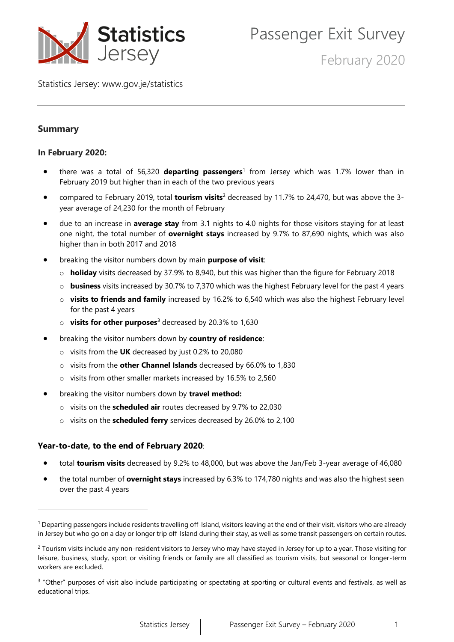

February 2020

Statistics Jersey: [www.gov.je/statistics](https://www.gov.je/statistics)

# **Summary**

#### **In February 2020:**

- there was a total of 56,320 **departing passengers**<sup>1</sup> from Jersey which was 1.7% lower than in February 2019 but higher than in each of the two previous years
- compared to February 2019, total **tourism visits**<sup>2</sup> decreased by 11.7% to 24,470, but was above the 3 year average of 24,230 for the month of February
- due to an increase in **average stay** from 3.1 nights to 4.0 nights for those visitors staying for at least one night, the total number of **overnight stays** increased by 9.7% to 87,690 nights, which was also higher than in both 2017 and 2018
- breaking the visitor numbers down by main **purpose of visit**:
	- o **holiday** visits decreased by 37.9% to 8,940, but this was higher than the figure for February 2018
	- o **business** visits increased by 30.7% to 7,370 which was the highest February level for the past 4 years
	- o **visits to friends and family** increased by 16.2% to 6,540 which was also the highest February level for the past 4 years
	- o **visits for other purposes**<sup>3</sup> decreased by 20.3% to 1,630
- breaking the visitor numbers down by **country of residence**:
	- o visits from the **UK** decreased by just 0.2% to 20,080
	- o visits from the **other Channel Islands** decreased by 66.0% to 1,830
	- o visits from other smaller markets increased by 16.5% to 2,560
- breaking the visitor numbers down by **travel method:**
	- o visits on the **scheduled air** routes decreased by 9.7% to 22,030
	- o visits on the **scheduled ferry** services decreased by 26.0% to 2,100

#### **Year-to-date, to the end of February 2020**:

- total **tourism visits** decreased by 9.2% to 48,000, but was above the Jan/Feb 3-year average of 46,080
- the total number of **overnight stays** increased by 6.3% to 174,780 nights and was also the highest seen over the past 4 years

<sup>&</sup>lt;sup>1</sup> Departing passengers include residents travelling off-Island, visitors leaving at the end of their visit, visitors who are already in Jersey but who go on a day or longer trip off-Island during their stay, as well as some transit passengers on certain routes.

<sup>&</sup>lt;sup>2</sup> Tourism visits include any non-resident visitors to Jersey who may have stayed in Jersey for up to a year. Those visiting for leisure, business, study, sport or visiting friends or family are all classified as tourism visits, but seasonal or longer-term workers are excluded.

<sup>&</sup>lt;sup>3</sup> "Other" purposes of visit also include participating or spectating at sporting or cultural events and festivals, as well as educational trips.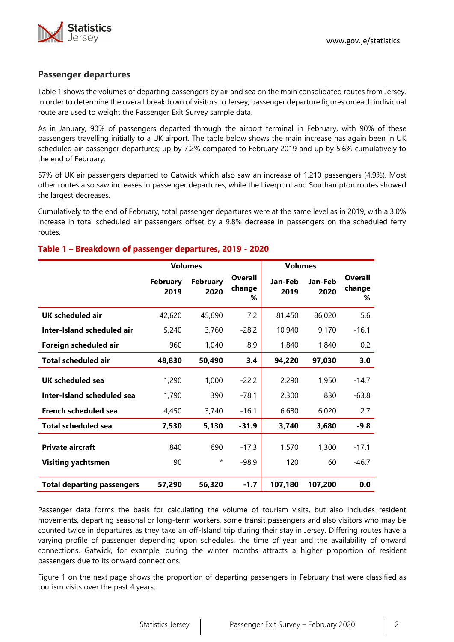

#### **Passenger departures**

Table 1 shows the volumes of departing passengers by air and sea on the main consolidated routes from Jersey. In order to determine the overall breakdown of visitors to Jersey, passenger departure figures on each individual route are used to weight the Passenger Exit Survey sample data.

As in January, 90% of passengers departed through the airport terminal in February, with 90% of these passengers travelling initially to a UK airport. The table below shows the main increase has again been in UK scheduled air passenger departures; up by 7.2% compared to February 2019 and up by 5.6% cumulatively to the end of February.

57% of UK air passengers departed to Gatwick which also saw an increase of 1,210 passengers (4.9%). Most other routes also saw increases in passenger departures, while the Liverpool and Southampton routes showed the largest decreases.

Cumulatively to the end of February, total passenger departures were at the same level as in 2019, with a 3.0% increase in total scheduled air passengers offset by a 9.8% decrease in passengers on the scheduled ferry routes.

#### **Table 1 – Breakdown of passenger departures, 2019 - 2020**

|                                   | <b>Volumes</b>          |                         |                        | <b>Volumes</b>  |                 |                               |
|-----------------------------------|-------------------------|-------------------------|------------------------|-----------------|-----------------|-------------------------------|
|                                   | <b>February</b><br>2019 | <b>February</b><br>2020 | Overall<br>change<br>℅ | Jan-Feb<br>2019 | Jan-Feb<br>2020 | <b>Overall</b><br>change<br>% |
| <b>UK scheduled air</b>           | 42,620                  | 45,690                  | 7.2                    | 81,450          | 86,020          | 5.6                           |
| Inter-Island scheduled air        | 5,240                   | 3,760                   | $-28.2$                | 10,940          | 9,170           | $-16.1$                       |
| Foreign scheduled air             | 960                     | 1,040                   | 8.9                    | 1,840           | 1,840           | 0.2                           |
| <b>Total scheduled air</b>        | 48,830                  | 50,490                  | 3.4                    | 94,220          | 97,030          | 3.0                           |
| UK scheduled sea                  | 1,290                   | 1,000                   | $-22.2$                | 2,290           | 1,950           | $-14.7$                       |
| Inter-Island scheduled sea        | 1,790                   | 390                     | $-78.1$                | 2,300           | 830             | $-63.8$                       |
| French scheduled sea              | 4,450                   | 3,740                   | $-16.1$                | 6,680           | 6,020           | 2.7                           |
| <b>Total scheduled sea</b>        | 7,530                   | 5,130                   | $-31.9$                | 3,740           | 3,680           | $-9.8$                        |
| <b>Private aircraft</b>           | 840                     | 690                     | $-17.3$                | 1,570           | 1,300           | $-17.1$                       |
| <b>Visiting yachtsmen</b>         | 90                      | $^\star$                | $-98.9$                | 120             | 60              | $-46.7$                       |
| <b>Total departing passengers</b> | 57,290                  | 56,320                  | $-1.7$                 | 107,180         | 107,200         | 0.0                           |

Passenger data forms the basis for calculating the volume of tourism visits, but also includes resident movements, departing seasonal or long-term workers, some transit passengers and also visitors who may be counted twice in departures as they take an off-Island trip during their stay in Jersey. Differing routes have a varying profile of passenger depending upon schedules, the time of year and the availability of onward connections. Gatwick, for example, during the winter months attracts a higher proportion of resident passengers due to its onward connections.

Figure 1 on the next page shows the proportion of departing passengers in February that were classified as tourism visits over the past 4 years.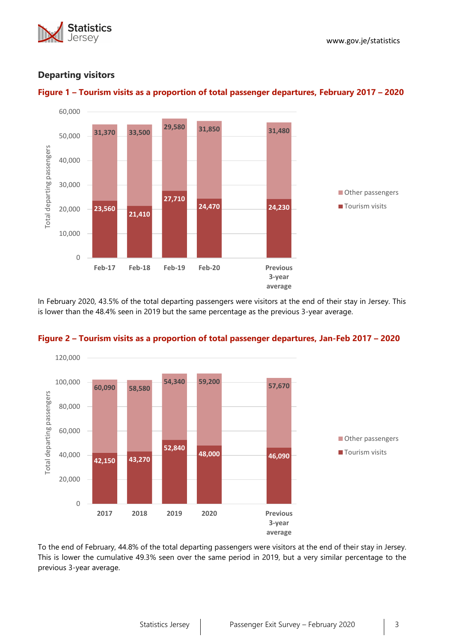



## **Departing visitors**



In February 2020, 43.5% of the total departing passengers were visitors at the end of their stay in Jersey. This is lower than the 48.4% seen in 2019 but the same percentage as the previous 3-year average.



#### **Figure 2 – Tourism visits as a proportion of total passenger departures, Jan-Feb 2017 – 2020**

To the end of February, 44.8% of the total departing passengers were visitors at the end of their stay in Jersey. This is lower the cumulative 49.3% seen over the same period in 2019, but a very similar percentage to the previous 3-year average.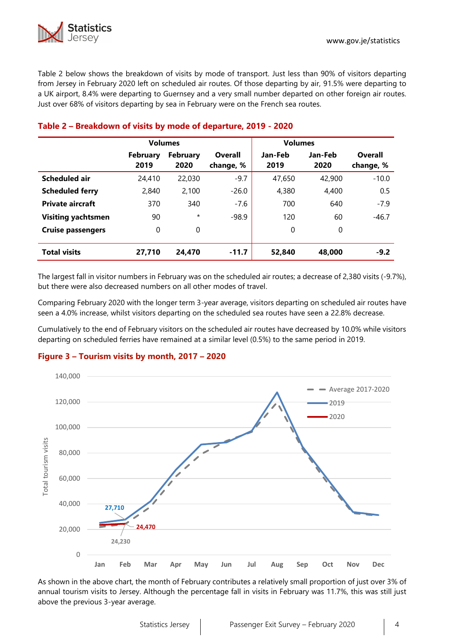Table 2 below shows the breakdown of visits by mode of transport. Just less than 90% of visitors departing from Jersey in February 2020 left on scheduled air routes. Of those departing by air, 91.5% were departing to a UK airport, 8.4% were departing to Guernsey and a very small number departed on other foreign air routes. Just over 68% of visitors departing by sea in February were on the French sea routes.

|                           | <b>Volumes</b>          |                         |                      | <b>Volumes</b>  |                 |                      |  |  |
|---------------------------|-------------------------|-------------------------|----------------------|-----------------|-----------------|----------------------|--|--|
|                           | <b>February</b><br>2019 | <b>February</b><br>2020 | Overall<br>change, % | Jan-Feb<br>2019 | Jan-Feb<br>2020 | Overall<br>change, % |  |  |
| <b>Scheduled air</b>      | 24,410                  | 22,030                  | $-9.7$               | 47,650          | 42,900          | $-10.0$              |  |  |
| <b>Scheduled ferry</b>    | 2,840                   | 2,100                   | $-26.0$              | 4,380           | 4,400           | 0.5                  |  |  |
| <b>Private aircraft</b>   | 370                     | 340                     | $-7.6$               | 700             | 640             | $-7.9$               |  |  |
| <b>Visiting yachtsmen</b> | 90                      | $\star$                 | $-98.9$              | 120             | 60              | $-46.7$              |  |  |
| <b>Cruise passengers</b>  | 0                       | $\mathbf{0}$            |                      | 0               | 0               |                      |  |  |
| <b>Total visits</b>       | 27,710                  | 24,470                  | $-11.7$              | 52,840          | 48,000          | $-9.2$               |  |  |

## **Table 2 – Breakdown of visits by mode of departure, 2019 - 2020**

The largest fall in visitor numbers in February was on the scheduled air routes; a decrease of 2,380 visits (-9.7%), but there were also decreased numbers on all other modes of travel.

Comparing February 2020 with the longer term 3-year average, visitors departing on scheduled air routes have seen a 4.0% increase, whilst visitors departing on the scheduled sea routes have seen a 22.8% decrease.

Cumulatively to the end of February visitors on the scheduled air routes have decreased by 10.0% while visitors departing on scheduled ferries have remained at a similar level (0.5%) to the same period in 2019.

#### **Figure 3 – Tourism visits by month, 2017 – 2020**



As shown in the above chart, the month of February contributes a relatively small proportion of just over 3% of annual tourism visits to Jersey. Although the percentage fall in visits in February was 11.7%, this was still just above the previous 3-year average.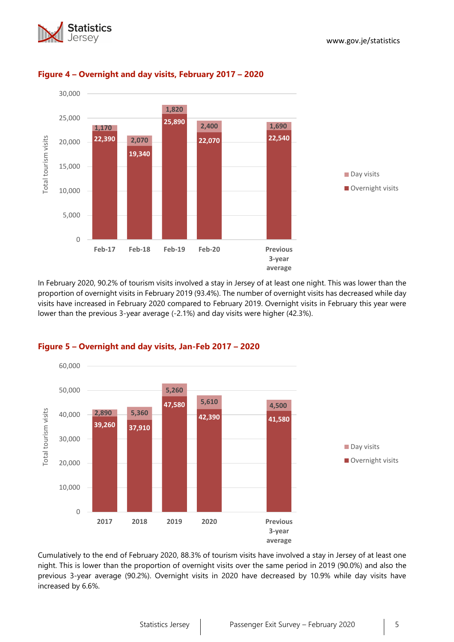



## **Figure 4 – Overnight and day visits, February 2017 – 2020**

In February 2020, 90.2% of tourism visits involved a stay in Jersey of at least one night. This was lower than the proportion of overnight visits in February 2019 (93.4%). The number of overnight visits has decreased while day visits have increased in February 2020 compared to February 2019. Overnight visits in February this year were lower than the previous 3-year average (-2.1%) and day visits were higher (42.3%).



## **Figure 5 – Overnight and day visits, Jan-Feb 2017 – 2020**

Cumulatively to the end of February 2020, 88.3% of tourism visits have involved a stay in Jersey of at least one night. This is lower than the proportion of overnight visits over the same period in 2019 (90.0%) and also the previous 3-year average (90.2%). Overnight visits in 2020 have decreased by 10.9% while day visits have increased by 6.6%.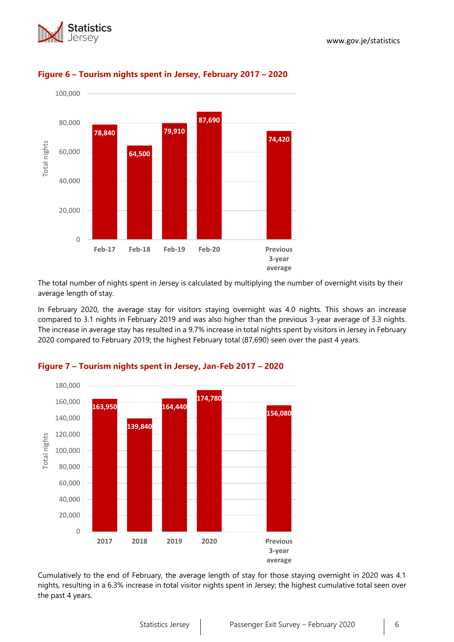



## **Figure 6 – Tourism nights spent in Jersey, February 2017 – 2020**

The total number of nights spent in Jersey is calculated by multiplying the number of overnight visits by their average length of stay.

In February 2020, the average stay for visitors staying overnight was 4.0 nights. This shows an increase compared to 3.1 nights in February 2019 and was also higher than the previous 3-year average of 3.3 nights. The increase in average stay has resulted in a 9.7% increase in total nights spent by visitors in Jersey in February 2020 compared to February 2019; the highest February total (87,690) seen over the past 4 years.



## **Figure 7 – Tourism nights spent in Jersey, Jan-Feb 2017 – 2020**

Cumulatively to the end of February, the average length of stay for those staying overnight in 2020 was 4.1 nights, resulting in a 6.3% increase in total visitor nights spent in Jersey; the highest cumulative total seen over the past 4 years.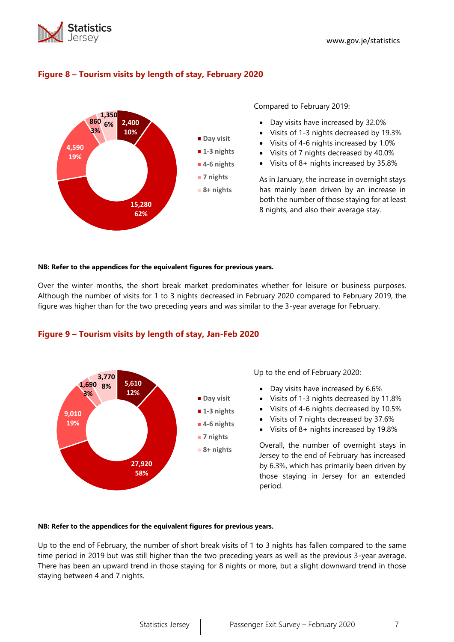

## **Figure 8 – Tourism visits by length of stay, February 2020**



Compared to February 2019:

- Day visits have increased by 32.0%
- Visits of 1-3 nights decreased by 19.3%
- Visits of 4-6 nights increased by 1.0%
- Visits of 7 nights decreased by 40.0%
- Visits of 8+ nights increased by 35.8%

As in January, the increase in overnight stays has mainly been driven by an increase in both the number of those staying for at least 8 nights, and also their average stay.

#### **NB: Refer to the appendices for the equivalent figures for previous years.**

Over the winter months, the short break market predominates whether for leisure or business purposes. Although the number of visits for 1 to 3 nights decreased in February 2020 compared to February 2019, the figure was higher than for the two preceding years and was similar to the 3-year average for February.



#### **Figure 9 – Tourism visits by length of stay, Jan-Feb 2020**

Up to the end of February 2020:

- Day visits have increased by 6.6%
- Visits of 1-3 nights decreased by 11.8%
- Visits of 4-6 nights decreased by 10.5%
- Visits of 7 nights decreased by 37.6%
- Visits of 8+ nights increased by 19.8%

Overall, the number of overnight stays in Jersey to the end of February has increased by 6.3%, which has primarily been driven by those staying in Jersey for an extended period.

#### **NB: Refer to the appendices for the equivalent figures for previous years.**

Up to the end of February, the number of short break visits of 1 to 3 nights has fallen compared to the same time period in 2019 but was still higher than the two preceding years as well as the previous 3-year average. There has been an upward trend in those staying for 8 nights or more, but a slight downward trend in those staying between 4 and 7 nights.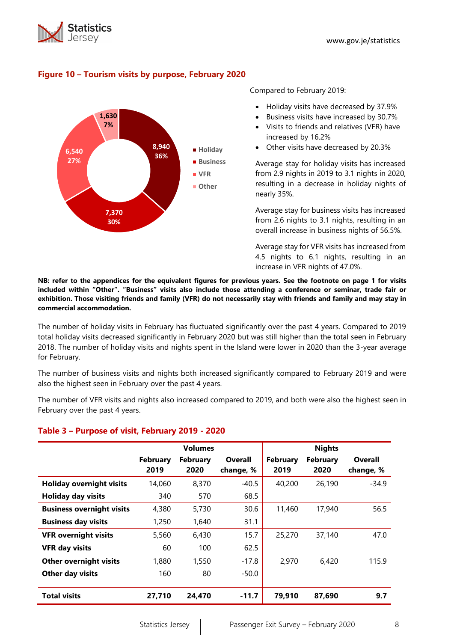



## **Figure 10 – Tourism visits by purpose, February 2020**

Compared to February 2019:

- Holiday visits have decreased by 37.9%
- Business visits have increased by 30.7%
- Visits to friends and relatives (VFR) have increased by 16.2%
- Other visits have decreased by 20.3%

Average stay for holiday visits has increased from 2.9 nights in 2019 to 3.1 nights in 2020, resulting in a decrease in holiday nights of nearly 35%.

Average stay for business visits has increased from 2.6 nights to 3.1 nights, resulting in an overall increase in business nights of 56.5%.

Average stay for VFR visits has increased from 4.5 nights to 6.1 nights, resulting in an increase in VFR nights of 47.0%.

**NB: refer to the appendices for the equivalent figures for previous years. See the footnote on page 1 for visits included within "Other". "Business" visits also include those attending a conference or seminar, trade fair or exhibition. Those visiting friends and family (VFR) do not necessarily stay with friends and family and may stay in commercial accommodation.**

The number of holiday visits in February has fluctuated significantly over the past 4 years. Compared to 2019 total holiday visits decreased significantly in February 2020 but was still higher than the total seen in February 2018. The number of holiday visits and nights spent in the Island were lower in 2020 than the 3-year average for February.

The number of business visits and nights both increased significantly compared to February 2019 and were also the highest seen in February over the past 4 years.

The number of VFR visits and nights also increased compared to 2019, and both were also the highest seen in February over the past 4 years.

#### **Table 3 – Purpose of visit, February 2019 - 2020**

|                                  |                         | <b>Volumes</b>          |                             |                  | <b>Nights</b>           |                      |
|----------------------------------|-------------------------|-------------------------|-----------------------------|------------------|-------------------------|----------------------|
|                                  | <b>February</b><br>2019 | <b>February</b><br>2020 | <b>Overall</b><br>change, % | February<br>2019 | <b>February</b><br>2020 | Overall<br>change, % |
| <b>Holiday overnight visits</b>  | 14,060                  | 8,370                   | $-40.5$                     | 40,200           | 26,190                  | $-34.9$              |
| <b>Holiday day visits</b>        | 340                     | 570                     | 68.5                        |                  |                         |                      |
| <b>Business overnight visits</b> | 4,380                   | 5,730                   | 30.6                        | 11,460           | 17,940                  | 56.5                 |
| <b>Business day visits</b>       | 1,250                   | 1,640                   | 31.1                        |                  |                         |                      |
| <b>VFR overnight visits</b>      | 5,560                   | 6,430                   | 15.7                        | 25,270           | 37,140                  | 47.0                 |
| <b>VFR day visits</b>            | 60                      | 100                     | 62.5                        |                  |                         |                      |
| <b>Other overnight visits</b>    | 1,880                   | 1,550                   | $-17.8$                     | 2,970            | 6,420                   | 115.9                |
| Other day visits                 | 160                     | 80                      | $-50.0$                     |                  |                         |                      |
| <b>Total visits</b>              | 27,710                  | 24,470                  | $-11.7$                     | 79,910           | 87,690                  | 9.7                  |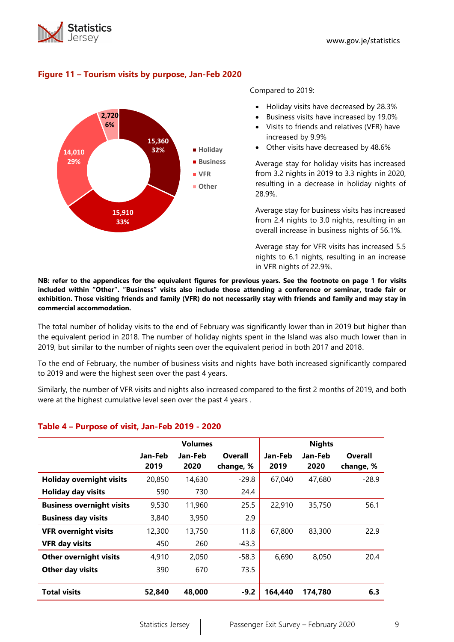



## **Figure 11 – Tourism visits by purpose, Jan-Feb 2020**

Compared to 2019:

- Holiday visits have decreased by 28.3%
- Business visits have increased by 19.0%
- Visits to friends and relatives (VFR) have increased by 9.9%
- Other visits have decreased by 48.6%

Average stay for holiday visits has increased from 3.2 nights in 2019 to 3.3 nights in 2020, resulting in a decrease in holiday nights of 28.9%.

Average stay for business visits has increased from 2.4 nights to 3.0 nights, resulting in an overall increase in business nights of 56.1%.

Average stay for VFR visits has increased 5.5 nights to 6.1 nights, resulting in an increase in VFR nights of 22.9%.

**NB: refer to the appendices for the equivalent figures for previous years. See the footnote on page 1 for visits included within "Other". "Business" visits also include those attending a conference or seminar, trade fair or exhibition. Those visiting friends and family (VFR) do not necessarily stay with friends and family and may stay in commercial accommodation.**

The total number of holiday visits to the end of February was significantly lower than in 2019 but higher than the equivalent period in 2018. The number of holiday nights spent in the Island was also much lower than in 2019, but similar to the number of nights seen over the equivalent period in both 2017 and 2018.

To the end of February, the number of business visits and nights have both increased significantly compared to 2019 and were the highest seen over the past 4 years.

Similarly, the number of VFR visits and nights also increased compared to the first 2 months of 2019, and both were at the highest cumulative level seen over the past 4 years .

|                                  |         | <b>Volumes</b> |           |         | <b>Nights</b> |           |
|----------------------------------|---------|----------------|-----------|---------|---------------|-----------|
|                                  | Jan-Feb | Jan-Feb        | Overall   | Jan-Feb | Jan-Feb       | Overall   |
|                                  | 2019    | 2020           | change, % | 2019    | 2020          | change, % |
| <b>Holiday overnight visits</b>  | 20,850  | 14,630         | $-29.8$   | 67,040  | 47,680        | $-28.9$   |
| <b>Holiday day visits</b>        | 590     | 730            | 24.4      |         |               |           |
| <b>Business overnight visits</b> | 9,530   | 11,960         | 25.5      | 22,910  | 35,750        | 56.1      |
| <b>Business day visits</b>       | 3,840   | 3,950          | 2.9       |         |               |           |
| <b>VFR overnight visits</b>      | 12,300  | 13,750         | 11.8      | 67,800  | 83,300        | 22.9      |
| <b>VFR day visits</b>            | 450     | 260            | $-43.3$   |         |               |           |
| <b>Other overnight visits</b>    | 4,910   | 2,050          | $-58.3$   | 6,690   | 8,050         | 20.4      |
| Other day visits                 | 390     | 670            | 73.5      |         |               |           |
|                                  |         |                |           |         |               |           |
| <b>Total visits</b>              | 52,840  | 48,000         | $-9.2$    | 164,440 | 174,780       | 6.3       |

#### **Table 4 – Purpose of visit, Jan-Feb 2019 - 2020**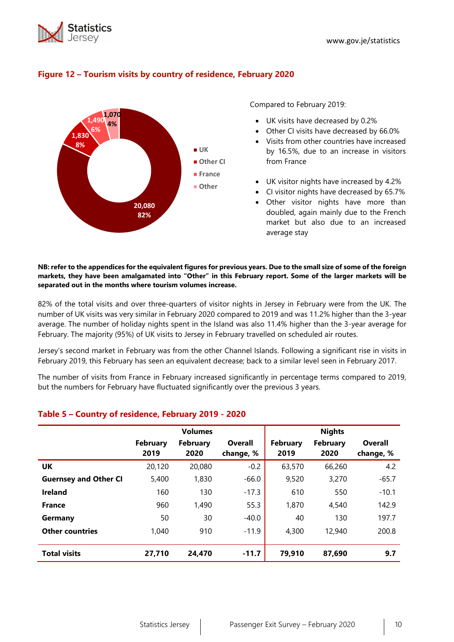



## **Figure 12 – Tourism visits by country of residence, February 2020**

Compared to February 2019:

- UK visits have decreased by 0.2%
- Other CI visits have decreased by 66.0%
- Visits from other countries have increased by 16.5%, due to an increase in visitors from France
- UK visitor nights have increased by 4.2%
- CI visitor nights have decreased by 65.7%
- Other visitor nights have more than doubled, again mainly due to the French market but also due to an increased average stay

#### **NB: refer to the appendices for the equivalent figures for previous years. Due to the small size of some of the foreign markets, they have been amalgamated into "Other" in this February report. Some of the larger markets will be separated out in the months where tourism volumes increase.**

82% of the total visits and over three-quarters of visitor nights in Jersey in February were from the UK. The number of UK visits was very similar in February 2020 compared to 2019 and was 11.2% higher than the 3-year average. The number of holiday nights spent in the Island was also 11.4% higher than the 3-year average for February. The majority (95%) of UK visits to Jersey in February travelled on scheduled air routes.

Jersey's second market in February was from the other Channel Islands. Following a significant rise in visits in February 2019, this February has seen an equivalent decrease; back to a similar level seen in February 2017.

The number of visits from France in February increased significantly in percentage terms compared to 2019, but the numbers for February have fluctuated significantly over the previous 3 years.

|                              |                         | <b>Volumes</b>          |                             |                         | <b>Nights</b>           |                             |
|------------------------------|-------------------------|-------------------------|-----------------------------|-------------------------|-------------------------|-----------------------------|
|                              | <b>February</b><br>2019 | <b>February</b><br>2020 | <b>Overall</b><br>change, % | <b>February</b><br>2019 | <b>February</b><br>2020 | <b>Overall</b><br>change, % |
| UK                           | 20,120                  | 20,080                  | $-0.2$                      | 63,570                  | 66,260                  | 4.2                         |
| <b>Guernsey and Other CI</b> | 5,400                   | 1,830                   | $-66.0$                     | 9,520                   | 3,270                   | $-65.7$                     |
| <b>Ireland</b>               | 160                     | 130                     | $-17.3$                     | 610                     | 550                     | $-10.1$                     |
| <b>France</b>                | 960                     | 1,490                   | 55.3                        | 1,870                   | 4,540                   | 142.9                       |
| Germany                      | 50                      | 30                      | $-40.0$                     | 40                      | 130                     | 197.7                       |
| <b>Other countries</b>       | 1,040                   | 910                     | $-11.9$                     | 4,300                   | 12,940                  | 200.8                       |
| <b>Total visits</b>          | 27,710                  | 24,470                  | $-11.7$                     | 79,910                  | 87,690                  | 9.7                         |

## **Table 5 – Country of residence, February 2019 - 2020**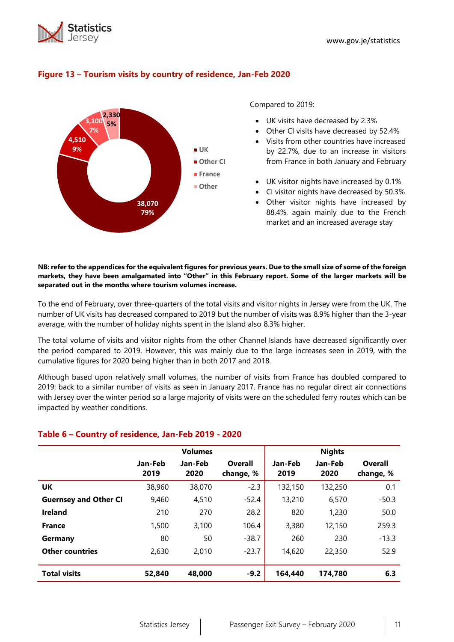



#### **Figure 13 – Tourism visits by country of residence, Jan-Feb 2020**

Compared to 2019:

- UK visits have decreased by 2.3%
- Other CI visits have decreased by 52.4%
- Visits from other countries have increased by 22.7%, due to an increase in visitors from France in both January and February
- UK visitor nights have increased by 0.1%
- CI visitor nights have decreased by 50.3%
- Other visitor nights have increased by 88.4%, again mainly due to the French market and an increased average stay

#### **NB: refer to the appendices for the equivalent figures for previous years. Due to the small size of some of the foreign markets, they have been amalgamated into "Other" in this February report. Some of the larger markets will be separated out in the months where tourism volumes increase.**

To the end of February, over three-quarters of the total visits and visitor nights in Jersey were from the UK. The number of UK visits has decreased compared to 2019 but the number of visits was 8.9% higher than the 3-year average, with the number of holiday nights spent in the Island also 8.3% higher.

The total volume of visits and visitor nights from the other Channel Islands have decreased significantly over the period compared to 2019. However, this was mainly due to the large increases seen in 2019, with the cumulative figures for 2020 being higher than in both 2017 and 2018.

Although based upon relatively small volumes, the number of visits from France has doubled compared to 2019; back to a similar number of visits as seen in January 2017. France has no regular direct air connections with Jersey over the winter period so a large majority of visits were on the scheduled ferry routes which can be impacted by weather conditions.

|                              |                 | <b>Volumes</b>  |                      |                 | <b>Nights</b>   |                      |
|------------------------------|-----------------|-----------------|----------------------|-----------------|-----------------|----------------------|
|                              | Jan-Feb<br>2019 | Jan-Feb<br>2020 | Overall<br>change, % | Jan-Feb<br>2019 | Jan-Feb<br>2020 | Overall<br>change, % |
| UK                           | 38,960          | 38,070          | $-2.3$               | 132,150         | 132,250         | 0.1                  |
| <b>Guernsey and Other CI</b> | 9,460           | 4.510           | $-52.4$              | 13,210          | 6.570           | $-50.3$              |
| <b>Ireland</b>               | 210             | 270             | 28.2                 | 820             | 1,230           | 50.0                 |
| <b>France</b>                | 1,500           | 3.100           | 106.4                | 3,380           | 12,150          | 259.3                |
| Germany                      | 80              | 50              | $-38.7$              | 260             | 230             | $-13.3$              |
| <b>Other countries</b>       | 2,630           | 2,010           | $-23.7$              | 14,620          | 22,350          | 52.9                 |
| <b>Total visits</b>          | 52,840          | 48,000          | $-9.2$               | 164,440         | 174.780         | 6.3                  |

#### **Table 6 – Country of residence, Jan-Feb 2019 - 2020**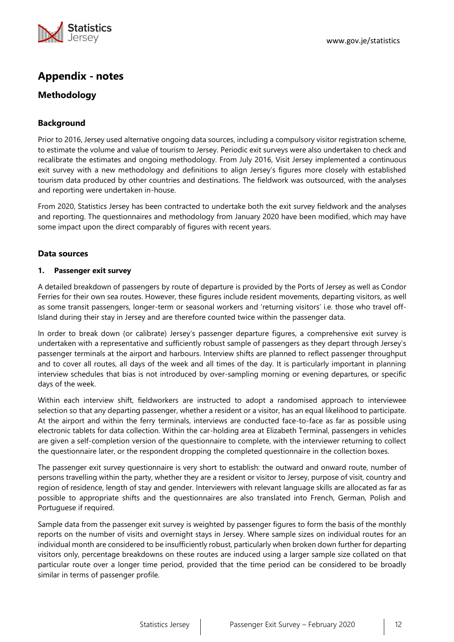

# **Appendix - notes**

# **Methodology**

## **Background**

Prior to 2016, Jersey used alternative ongoing data sources, including a compulsory visitor registration scheme, to estimate the volume and value of tourism to Jersey. Periodic exit surveys were also undertaken to check and recalibrate the estimates and ongoing methodology. From July 2016, Visit Jersey implemented a continuous exit survey with a new methodology and definitions to align Jersey's figures more closely with established tourism data produced by other countries and destinations. The fieldwork was outsourced, with the analyses and reporting were undertaken in-house.

From 2020, Statistics Jersey has been contracted to undertake both the exit survey fieldwork and the analyses and reporting. The questionnaires and methodology from January 2020 have been modified, which may have some impact upon the direct comparably of figures with recent years.

#### **Data sources**

#### **1. Passenger exit survey**

A detailed breakdown of passengers by route of departure is provided by the Ports of Jersey as well as Condor Ferries for their own sea routes. However, these figures include resident movements, departing visitors, as well as some transit passengers, longer-term or seasonal workers and 'returning visitors' i.e. those who travel off-Island during their stay in Jersey and are therefore counted twice within the passenger data.

In order to break down (or calibrate) Jersey's passenger departure figures, a comprehensive exit survey is undertaken with a representative and sufficiently robust sample of passengers as they depart through Jersey's passenger terminals at the airport and harbours. Interview shifts are planned to reflect passenger throughput and to cover all routes, all days of the week and all times of the day. It is particularly important in planning interview schedules that bias is not introduced by over-sampling morning or evening departures, or specific days of the week.

Within each interview shift, fieldworkers are instructed to adopt a randomised approach to interviewee selection so that any departing passenger, whether a resident or a visitor, has an equal likelihood to participate. At the airport and within the ferry terminals, interviews are conducted face-to-face as far as possible using electronic tablets for data collection. Within the car-holding area at Elizabeth Terminal, passengers in vehicles are given a self-completion version of the questionnaire to complete, with the interviewer returning to collect the questionnaire later, or the respondent dropping the completed questionnaire in the collection boxes.

The passenger exit survey questionnaire is very short to establish: the outward and onward route, number of persons travelling within the party, whether they are a resident or visitor to Jersey, purpose of visit, country and region of residence, length of stay and gender. Interviewers with relevant language skills are allocated as far as possible to appropriate shifts and the questionnaires are also translated into French, German, Polish and Portuguese if required.

Sample data from the passenger exit survey is weighted by passenger figures to form the basis of the monthly reports on the number of visits and overnight stays in Jersey. Where sample sizes on individual routes for an individual month are considered to be insufficiently robust, particularly when broken down further for departing visitors only, percentage breakdowns on these routes are induced using a larger sample size collated on that particular route over a longer time period, provided that the time period can be considered to be broadly similar in terms of passenger profile.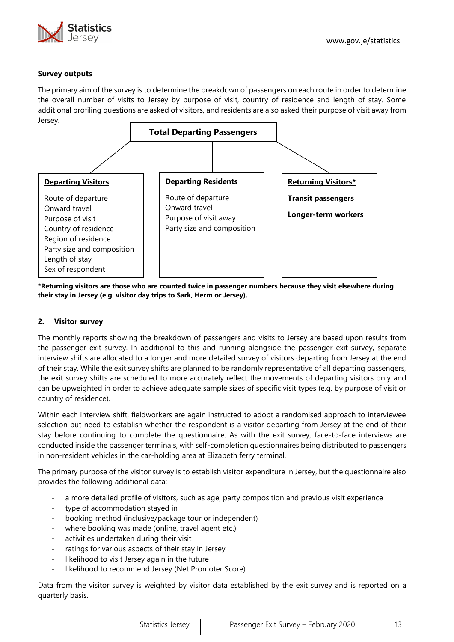

#### **Survey outputs**

The primary aim of the survey is to determine the breakdown of passengers on each route in order to determine the overall number of visits to Jersey by purpose of visit, country of residence and length of stay. Some additional profiling questions are asked of visitors, and residents are also asked their purpose of visit away from Jersey.



**\*Returning visitors are those who are counted twice in passenger numbers because they visit elsewhere during their stay in Jersey (e.g. visitor day trips to Sark, Herm or Jersey).**

#### **2. Visitor survey**

The monthly reports showing the breakdown of passengers and visits to Jersey are based upon results from the passenger exit survey. In additional to this and running alongside the passenger exit survey, separate interview shifts are allocated to a longer and more detailed survey of visitors departing from Jersey at the end of their stay. While the exit survey shifts are planned to be randomly representative of all departing passengers, the exit survey shifts are scheduled to more accurately reflect the movements of departing visitors only and can be upweighted in order to achieve adequate sample sizes of specific visit types (e.g. by purpose of visit or country of residence).

Within each interview shift, fieldworkers are again instructed to adopt a randomised approach to interviewee selection but need to establish whether the respondent is a visitor departing from Jersey at the end of their stay before continuing to complete the questionnaire. As with the exit survey, face-to-face interviews are conducted inside the passenger terminals, with self-completion questionnaires being distributed to passengers in non-resident vehicles in the car-holding area at Elizabeth ferry terminal.

The primary purpose of the visitor survey is to establish visitor expenditure in Jersey, but the questionnaire also provides the following additional data:

- a more detailed profile of visitors, such as age, party composition and previous visit experience
- type of accommodation stayed in
- booking method (inclusive/package tour or independent)
- where booking was made (online, travel agent etc.)
- activities undertaken during their visit
- ratings for various aspects of their stay in Jersey
- likelihood to visit Jersey again in the future
- likelihood to recommend Jersey (Net Promoter Score)

Data from the visitor survey is weighted by visitor data established by the exit survey and is reported on a quarterly basis.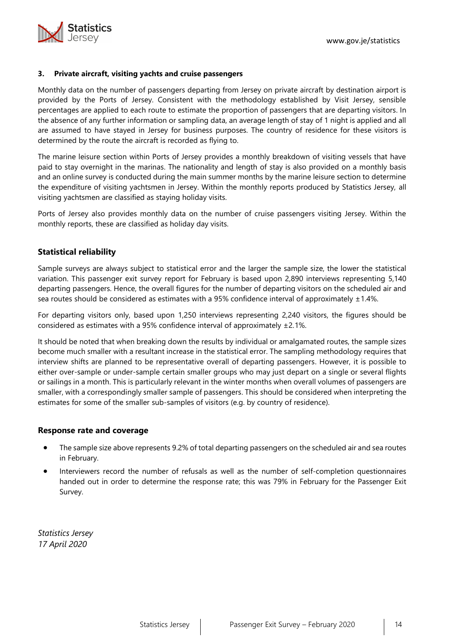

#### **3. Private aircraft, visiting yachts and cruise passengers**

Monthly data on the number of passengers departing from Jersey on private aircraft by destination airport is provided by the Ports of Jersey. Consistent with the methodology established by Visit Jersey, sensible percentages are applied to each route to estimate the proportion of passengers that are departing visitors. In the absence of any further information or sampling data, an average length of stay of 1 night is applied and all are assumed to have stayed in Jersey for business purposes. The country of residence for these visitors is determined by the route the aircraft is recorded as flying to.

The marine leisure section within Ports of Jersey provides a monthly breakdown of visiting vessels that have paid to stay overnight in the marinas. The nationality and length of stay is also provided on a monthly basis and an online survey is conducted during the main summer months by the marine leisure section to determine the expenditure of visiting yachtsmen in Jersey. Within the monthly reports produced by Statistics Jersey, all visiting yachtsmen are classified as staying holiday visits.

Ports of Jersey also provides monthly data on the number of cruise passengers visiting Jersey. Within the monthly reports, these are classified as holiday day visits.

## **Statistical reliability**

Sample surveys are always subject to statistical error and the larger the sample size, the lower the statistical variation. This passenger exit survey report for February is based upon 2,890 interviews representing 5,140 departing passengers. Hence, the overall figures for the number of departing visitors on the scheduled air and sea routes should be considered as estimates with a 95% confidence interval of approximately  $\pm 1.4\%$ .

For departing visitors only, based upon 1,250 interviews representing 2,240 visitors, the figures should be considered as estimates with a 95% confidence interval of approximately ±2.1%.

It should be noted that when breaking down the results by individual or amalgamated routes, the sample sizes become much smaller with a resultant increase in the statistical error. The sampling methodology requires that interview shifts are planned to be representative overall of departing passengers. However, it is possible to either over-sample or under-sample certain smaller groups who may just depart on a single or several flights or sailings in a month. This is particularly relevant in the winter months when overall volumes of passengers are smaller, with a correspondingly smaller sample of passengers. This should be considered when interpreting the estimates for some of the smaller sub-samples of visitors (e.g. by country of residence).

#### **Response rate and coverage**

- The sample size above represents 9.2% of total departing passengers on the scheduled air and sea routes in February.
- Interviewers record the number of refusals as well as the number of self-completion questionnaires handed out in order to determine the response rate; this was 79% in February for the Passenger Exit Survey.

*Statistics Jersey 17 April 2020*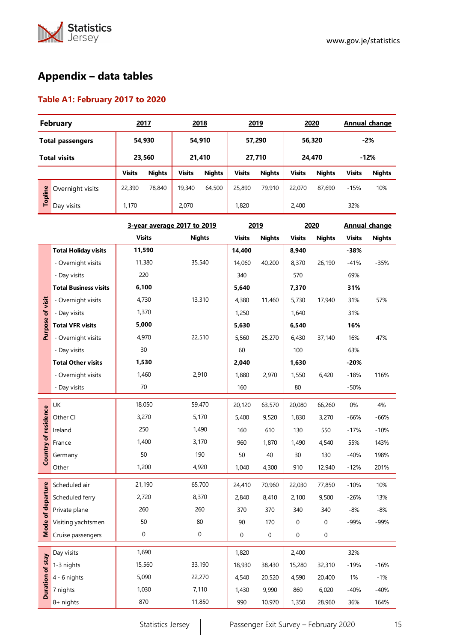

# **Appendix – data tables**

# **Table A1: February 2017 to 2020**

| <b>February</b>         |                  |               | 2017          | 2018             |                            | 2019          |               | 2020          |               | Annual change |               |
|-------------------------|------------------|---------------|---------------|------------------|----------------------------|---------------|---------------|---------------|---------------|---------------|---------------|
| <b>Total passengers</b> |                  |               | 54,930        |                  | 54,910<br>57,290<br>56,320 |               | $-2%$         |               |               |               |               |
| <b>Total visits</b>     |                  |               | 23,560        | 21,410<br>27,710 |                            |               | 24,470        |               | $-12%$        |               |               |
|                         |                  | <b>Visits</b> | <b>Nights</b> | <b>Visits</b>    | <b>Nights</b>              | <b>Visits</b> | <b>Nights</b> | <b>Visits</b> | <b>Nights</b> | <b>Visits</b> | <b>Nights</b> |
| ဧ                       | Overnight visits | 22,390        | 78,840        | 19,340           | 64,500                     | 25,890        | 79,910        | 22,070        | 87,690        | $-15%$        | 10%           |
| Toplin                  | Day visits       | 1,170         |               | 2,070            |                            | 1,820         |               | 2.400         |               | 32%           |               |

|                      |                              | 3-year average 2017 to 2019 |               |               | 2019          | 2020          |               | <b>Annual change</b> |               |
|----------------------|------------------------------|-----------------------------|---------------|---------------|---------------|---------------|---------------|----------------------|---------------|
|                      |                              | <b>Visits</b>               | <b>Nights</b> | <b>Visits</b> | <b>Nights</b> | <b>Visits</b> | <b>Nights</b> | <b>Visits</b>        | <b>Nights</b> |
|                      | <b>Total Holiday visits</b>  | 11,590                      |               | 14,400        |               | 8,940         |               | $-38%$               |               |
|                      | - Overnight visits           | 11,380                      | 35,540        | 14,060        | 40,200        | 8,370         | 26,190        | $-41%$               | $-35%$        |
|                      | - Day visits                 | 220                         |               | 340           |               | 570           |               | 69%                  |               |
|                      | <b>Total Business visits</b> | 6,100                       |               | 5,640         |               | 7,370         |               | 31%                  |               |
|                      | - Overnight visits           | 4,730                       | 13,310        | 4,380         | 11,460        | 5,730         | 17,940        | 31%                  | 57%           |
| Purpose of visit     | - Day visits                 | 1,370                       |               | 1,250         |               | 1,640         |               | 31%                  |               |
|                      | <b>Total VFR visits</b>      | 5,000                       |               | 5,630         |               | 6,540         |               | 16%                  |               |
|                      | - Overnight visits           | 4,970                       | 22,510        | 5,560         | 25,270        | 6,430         | 37,140        | 16%                  | 47%           |
|                      | - Day visits                 | 30                          |               | 60            |               | 100           |               | 63%                  |               |
|                      | <b>Total Other visits</b>    | 1,530                       |               | 2,040         |               | 1,630         |               | $-20%$               |               |
|                      | - Overnight visits           | 1,460                       | 2,910         | 1,880         | 2,970         | 1,550         | 6,420         | $-18%$               | 116%          |
|                      | - Day visits                 | 70                          |               | 160           |               | 80            |               | $-50%$               |               |
|                      | UK                           | 18,050                      | 59,470        | 20,120        | 63,570        | 20,080        | 66,260        | 0%                   | 4%            |
|                      | Other CI                     | 3,270                       | 5,170         | 5,400         | 9,520         | 1,830         | 3,270         | $-66%$               | $-66%$        |
|                      | Ireland                      | 250                         | 1,490         | 160           | 610           | 130           | 550           | $-17%$               | $-10%$        |
| Country of residence | France                       | 1,400                       | 3,170         | 960           | 1,870         | 1,490         | 4,540         | 55%                  | 143%          |
|                      | Germany                      | 50                          | 190           | 50            | 40            | 30            | 130           | $-40%$               | 198%          |
|                      | Other                        | 1,200                       | 4,920         | 1,040         | 4,300         | 910           | 12,940        | $-12%$               | 201%          |
|                      | Scheduled air                | 21,190                      | 65,700        | 24,410        | 70,960        | 22,030        | 77,850        | $-10%$               | 10%           |
| Mode of departure    | Scheduled ferry              | 2,720                       | 8,370         | 2,840         | 8,410         | 2,100         | 9,500         | $-26%$               | 13%           |
|                      | Private plane                | 260                         | 260           | 370           | 370           | 340           | 340           | $-8%$                | $-8%$         |
|                      | Visiting yachtsmen           | 50                          | 80            | 90            | 170           | 0             | 0             | $-99%$               | $-99%$        |
|                      | Cruise passengers            | $\mathbf 0$                 | 0             | 0             | 0             | 0             | 0             |                      |               |
|                      | Day visits                   | 1,690                       |               | 1,820         |               | 2,400         |               | 32%                  |               |
|                      | 1-3 nights                   | 15,560                      | 33,190        | 18,930        | 38,430        | 15,280        | 32,310        | $-19%$               | $-16%$        |
| Duration of stay     | 4 - 6 nights                 | 5,090                       | 22,270        | 4,540         | 20,520        | 4,590         | 20,400        | 1%                   | $-1%$         |
|                      | 7 nights                     | 1,030                       | 7,110         | 1,430         | 9,990         | 860           | 6,020         | $-40%$               | $-40%$        |
|                      | 8+ nights                    | 870                         | 11,850        | 990           | 10,970        | 1,350         | 28,960        | 36%                  | 164%          |
|                      |                              |                             |               |               |               |               |               |                      |               |